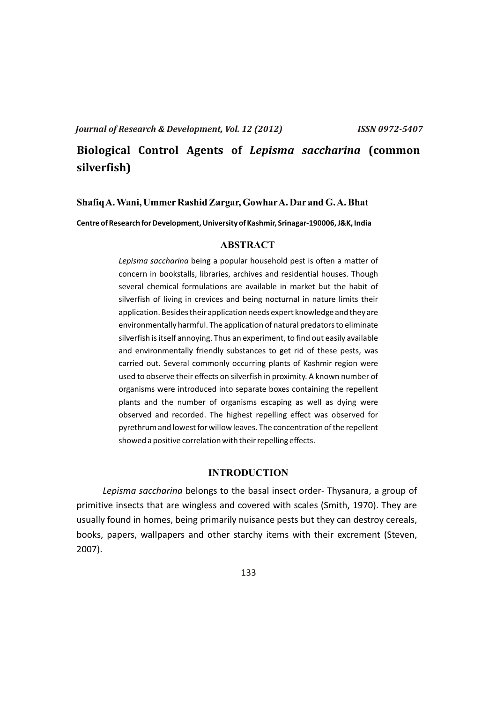# **Biological Control Agents of** *Lepisma saccharina* **(common silverfish)**

#### **Shafiq A. Wani, UmmerRashid Zargar, GowharA. Dar and G. A. Bhat**

**Centre of Research for Development, University of Kashmir, Srinagar-190006, J&K, India**

### **ABSTRACT**

*Lepisma saccharina* being a popular household pest is often a matter of concern in bookstalls, libraries, archives and residential houses. Though several chemical formulations are available in market but the habit of silverfish of living in crevices and being nocturnal in nature limits their application. Besides their application needs expert knowledge and they are environmentally harmful. The application of natural predators to eliminate silverfish is itself annoying. Thus an experiment, to find out easily available and environmentally friendly substances to get rid of these pests, was carried out. Several commonly occurring plants of Kashmir region were used to observe their effects on silverfish in proximity. A known number of organisms were introduced into separate boxes containing the repellent plants and the number of organisms escaping as well as dying were observed and recorded. The highest repelling effect was observed for pyrethrum and lowest for willow leaves. The concentration of the repellent showed a positive correlation with their repelling effects.

#### **INTRODUCTION**

*Lepisma saccharina* belongs to the basal insect order- Thysanura, a group of primitive insects that are wingless and covered with scales (Smith, 1970). They are usually found in homes, being primarily nuisance pests but they can destroy cereals, books, papers, wallpapers and other starchy items with their excrement (Steven, 2007).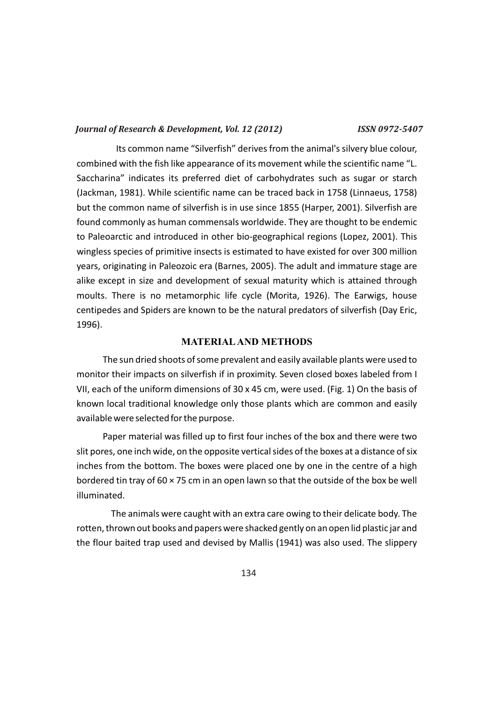Its common name "Silverfish" derives from the animal's silvery blue colour, combined with the fish like appearance of its movement while the scientific name "L. Saccharina" indicates its preferred diet of carbohydrates such as sugar or starch (Jackman, 1981). While scientific name can be traced back in 1758 (Linnaeus, 1758) but the common name of silverfish is in use since 1855 (Harper, 2001). Silverfish are found commonly as human commensals worldwide. They are thought to be endemic to Paleoarctic and introduced in other bio-geographical regions (Lopez, 2001). This wingless species of primitive insects is estimated to have existed for over 300 million years, originating in Paleozoic era (Barnes, 2005). The adult and immature stage are alike except in size and development of sexual maturity which is attained through moults. There is no metamorphic life cycle (Morita, 1926). The Earwigs, house centipedes and Spiders are known to be the natural predators of silverfish (Day Eric, 1996).

#### **MATERIALAND METHODS**

The sun dried shoots of some prevalent and easily available plants were used to monitor their impacts on silverfish if in proximity. Seven closed boxes labeled from I VII, each of the uniform dimensions of 30 x 45 cm, were used. (Fig. 1) On the basis of known local traditional knowledge only those plants which are common and easily available were selected for the purpose.

Paper material was filled up to first four inches of the box and there were two slit pores, one inch wide, on the opposite vertical sides of the boxes at a distance of six inches from the bottom. The boxes were placed one by one in the centre of a high bordered tin tray of 60 × 75 cm in an open lawn so that the outside of the box be well illuminated.

The animals were caught with an extra care owing to their delicate body. The rotten, thrown out books and papers were shacked gently on an open lid plastic jar and the flour baited trap used and devised by Mallis (1941) was also used. The slippery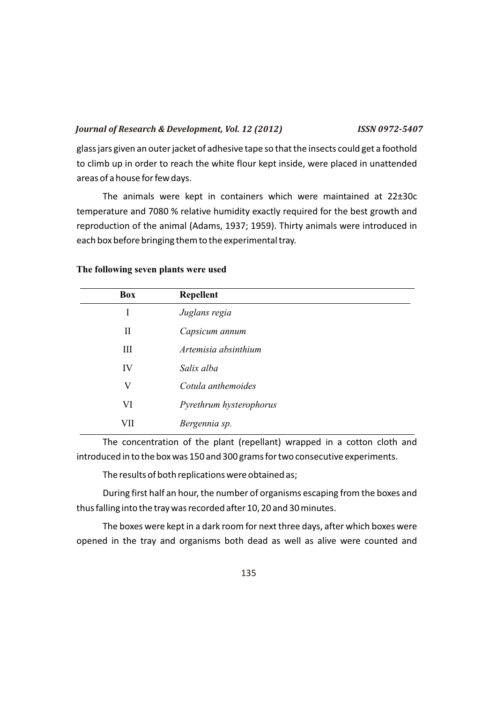glass jars given an outer jacket of adhesive tape so that the insects could get a foothold to climb up in order to reach the white flour kept inside, were placed in unattended areas of a house for few days.

The animals were kept in containers which were maintained at 22±30c temperature and 7080 % relative humidity exactly required for the best growth and reproduction of the animal (Adams, 1937; 1959). Thirty animals were introduced in each box before bringing them to the experimental tray.

| <b>Box</b> | <b>Repellent</b>        |
|------------|-------------------------|
| I          | Juglans regia           |
| П          | Capsicum annum          |
| Ш          | Artemisia absinthium    |
| IV         | Salix alba              |
| V          | Cotula anthemoides      |
| VI         | Pyrethrum hysterophorus |
| VII        | Bergennia sp.           |

#### **The following seven plants were used**

The concentration of the plant (repellant) wrapped in a cotton cloth and introduced in to the box was 150 and 300 grams for two consecutive experiments.

The results of both replications were obtained as;

During first half an hour, the number of organisms escaping from the boxes and thus falling into the tray was recorded after 10, 20 and 30 minutes.

The boxes were kept in a dark room for next three days, after which boxes were opened in the tray and organisms both dead as well as alive were counted and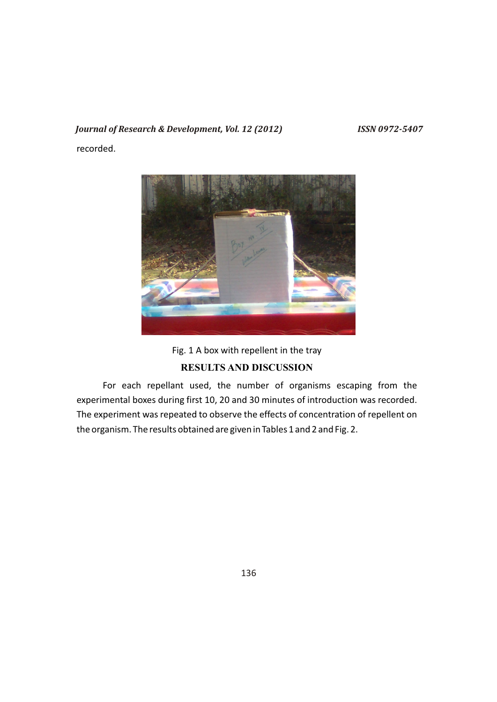recorded.



Fig. 1 A box with repellent in the tray **RESULTS AND DISCUSSION**

For each repellant used, the number of organisms escaping from the experimental boxes during first 10, 20 and 30 minutes of introduction was recorded. The experiment was repeated to observe the effects of concentration of repellent on the organism. The results obtained are given in Tables 1 and 2 and Fig. 2.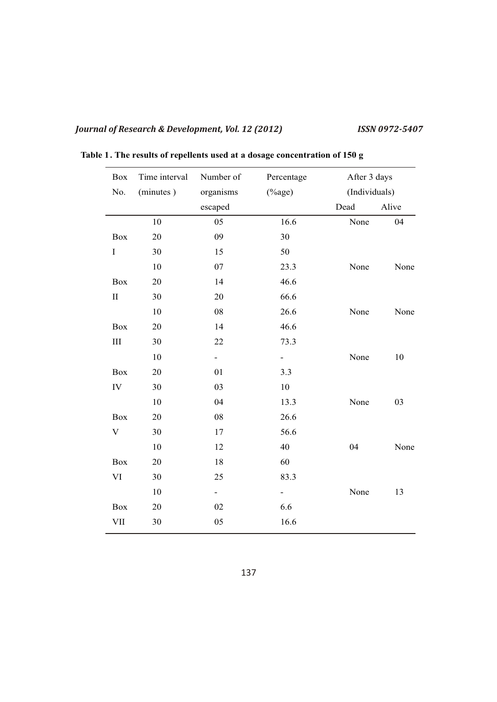| <b>Box</b>   | Time interval | Number of                | Percentage               |      | After 3 days  |  |
|--------------|---------------|--------------------------|--------------------------|------|---------------|--|
| No.          | (minutes)     | organisms                | $(\%$ age)               |      | (Individuals) |  |
|              |               | escaped                  |                          | Dead | Alive         |  |
|              | 10            | 05                       | 16.6                     | None | 04            |  |
| Box          | 20            | 09                       | 30                       |      |               |  |
| $\mathbf I$  | 30            | 15                       | 50                       |      |               |  |
|              | 10            | 07                       | 23.3                     | None | None          |  |
| Box          | 20            | 14                       | 46.6                     |      |               |  |
| $\mathbf{I}$ | 30            | 20                       | 66.6                     |      |               |  |
|              | 10            | 08                       | 26.6                     | None | None          |  |
| <b>Box</b>   | 20            | 14                       | 46.6                     |      |               |  |
| $\rm III$    | 30            | 22                       | 73.3                     |      |               |  |
|              | 10            | $\overline{\phantom{0}}$ | $\overline{\phantom{a}}$ | None | 10            |  |
| Box          | 20            | 01                       | 3.3                      |      |               |  |
| IV           | 30            | 03                       | 10                       |      |               |  |
|              | 10            | 04                       | 13.3                     | None | 03            |  |
| <b>Box</b>   | 20            | 08                       | 26.6                     |      |               |  |
| $\mathbf V$  | 30            | 17                       | 56.6                     |      |               |  |
|              | 10            | 12                       | 40                       | 04   | None          |  |
| <b>Box</b>   | 20            | 18                       | 60                       |      |               |  |
| VI           | 30            | 25                       | 83.3                     |      |               |  |
|              | 10            |                          | $\overline{\phantom{a}}$ | None | 13            |  |
| Box          | 20            | 02                       | 6.6                      |      |               |  |
| VII          | 30            | 05                       | 16.6                     |      |               |  |

**Table 1. The results of repellents used at a dosage concentration of 150 g**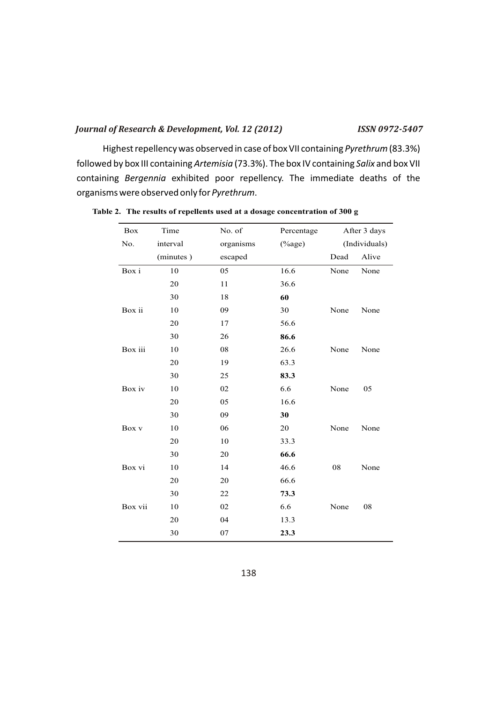Highest repellency was observed in case of box VII containing *Pyrethrum* (83.3%) followed by box III containing *Artemisia* (73.3%). The box IV containing *Salix* and box VII containing *Bergennia* exhibited poor repellency. The immediate deaths of the organisms were observed only for *Pyrethrum*.

| Box     | Time      | No. of    | Percentage | After 3 days |               |  |
|---------|-----------|-----------|------------|--------------|---------------|--|
| No.     | interval  | organisms | $(\%$ age) |              | (Individuals) |  |
|         | (minutes) | escaped   |            | Dead         | Alive         |  |
| Box i   | 10        | 05        | 16.6       | None         | None          |  |
|         | 20        | 11        | 36.6       |              |               |  |
|         | 30        | 18        | 60         |              |               |  |
| Box ii  | 10        | 09        | 30         | None         | None          |  |
|         | 20        | 17        | 56.6       |              |               |  |
|         | 30        | 26        | 86.6       |              |               |  |
| Box iii | 10        | 08        | 26.6       | None         | None          |  |
|         | 20        | 19        | 63.3       |              |               |  |
|         | 30        | 25        | 83.3       |              |               |  |
| Box iv  | 10        | 02        | 6.6        | None         | 05            |  |
|         | 20        | 05        | 16.6       |              |               |  |
|         | 30        | 09        | 30         |              |               |  |
| Box v   | 10        | 06        | 20         | None         | None          |  |
|         | 20        | 10        | 33.3       |              |               |  |
|         | 30        | 20        | 66.6       |              |               |  |
| Box vi  | 10        | 14        | 46.6       | 08           | None          |  |
|         | 20        | 20        | 66.6       |              |               |  |
|         | 30        | 22        | 73.3       |              |               |  |
| Box vii | 10        | 02        | 6.6        | None         | 08            |  |
|         | 20        | 04        | 13.3       |              |               |  |
|         | 30        | 07        | 23.3       |              |               |  |

**Table 2. The results of repellents used at a dosage concentration of 300 g**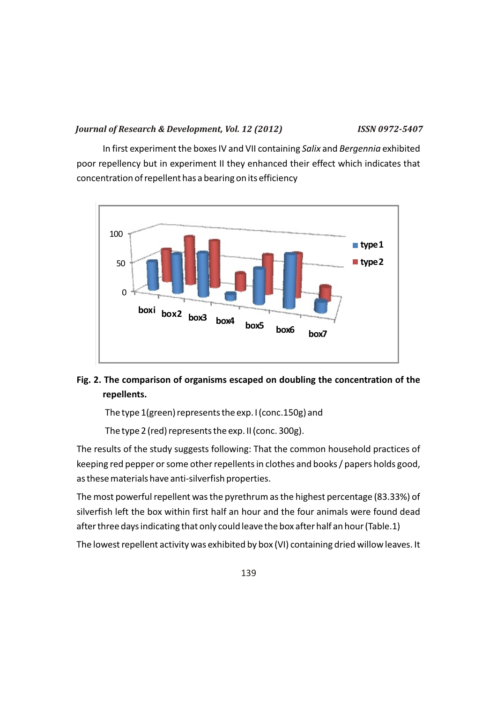In first experiment the boxes IV and VII containing *Salix* and *Bergennia* exhibited poor repellency but in experiment II they enhanced their effect which indicates that concentration of repellent has a bearing on its efficiency



## **Fig. 2. The comparison of organisms escaped on doubling the concentration of the repellents.**

The type 1(green) represents the exp. I (conc.150g) and

The type 2 (red) represents the exp. II (conc. 300g).

The results of the study suggests following: That the common household practices of keeping red pepper or some other repellents in clothes and books / papers holds good, as these materials have anti-silverfish properties.

The most powerful repellent was the pyrethrum as the highest percentage (83.33%) of silverfish left the box within first half an hour and the four animals were found dead after three days indicating that only could leave the box after half an hour (Table.1)

The lowest repellent activity was exhibited by box (VI) containing dried willow leaves. It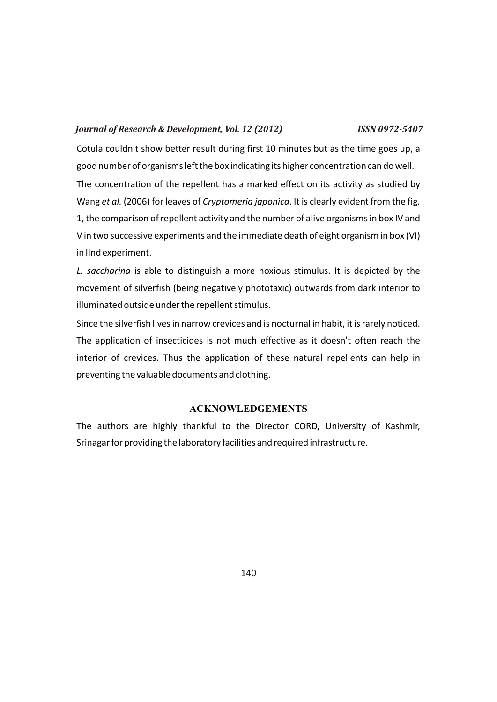Cotula couldn't show better result during first 10 minutes but as the time goes up, a good number of organisms left the box indicating its higher concentration can do well. The concentration of the repellent has a marked effect on its activity as studied by Wang *et al.* (2006) for leaves of *Cryptomeria japonica*. It is clearly evident from the fig*.* 1, the comparison of repellent activity and the number of alive organisms in box IV and V in two successive experiments and the immediate death of eight organism in box (VI) in IInd experiment.

*L. saccharina* is able to distinguish a more noxious stimulus. It is depicted by the movement of silverfish (being negatively phototaxic) outwards from dark interior to illuminated outside under the repellent stimulus.

Since the silverfish lives in narrow crevices and is nocturnal in habit, it is rarely noticed. The application of insecticides is not much effective as it doesn't often reach the interior of crevices. Thus the application of these natural repellents can help in preventing the valuable documents and clothing.

### **ACKNOWLEDGEMENTS**

The authors are highly thankful to the Director CORD, University of Kashmir, Srinagar for providing the laboratory facilities and required infrastructure.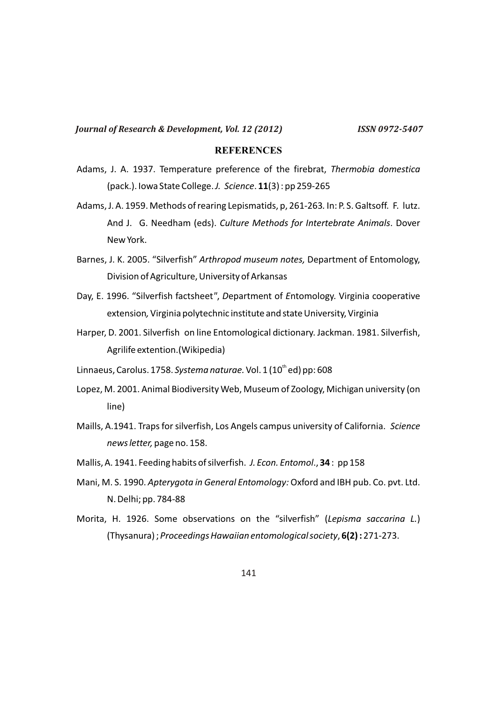### **REFERENCES**

- Adams, J. A. 1937. Temperature preference of the firebrat, *Thermobia domestica*  (pack.). Iowa State College. *J. Science*. **11**(3) : pp 259-265
- Adams, J. A. 1959. Methods of rearing Lepismatids, p, 261-263*.* In: P. S. Galtsoff. F. lutz. And J. G. Needham (eds). *Culture Methods for Intertebrate Animals*. Dover New York.
- Barnes, J. K. 2005. "Silverfish" *Arthropod museum notes,* Department of Entomology, Division of Agriculture, University of Arkansas
- Day, E. 1996. "Silverfish factsheet*"*, *D*epartment of *E*ntomology. Virginia cooperative extension*,* Virginia polytechnic institute and state University, Virginia
- Harper, D. 2001. Silverfish on line Entomological dictionary. Jackman. 1981. Silverfish, Agrilife extention.(Wikipedia)
- Linnaeus, Carolus. 1758. *Systema naturae*. Vol. 1 (10<sup>th</sup> ed) pp: 608
- Lopez, M. 2001. Animal Biodiversity Web, Museum of Zoology, Michigan university (on line)
- Maills, A.1941. Traps for silverfish, Los Angels campus university of California. *Science news letter,* pageno. 158.
- Mallis, A. 1941. Feeding habits of silverfish. *J. Econ. Entomol*., **34** : pp 158
- Mani, M. S. 1990. *Apterygota in General Entomology:* Oxford and IBH pub. Co. pvt. Ltd. N. Delhi; pp. 784-88
- Morita, H. 1926. Some observations on the "silverfish" (*Lepisma saccarina L.*) (Thysanura) ; *Proceedings Hawaiian entomological society*, **6(2) :** 271-273.